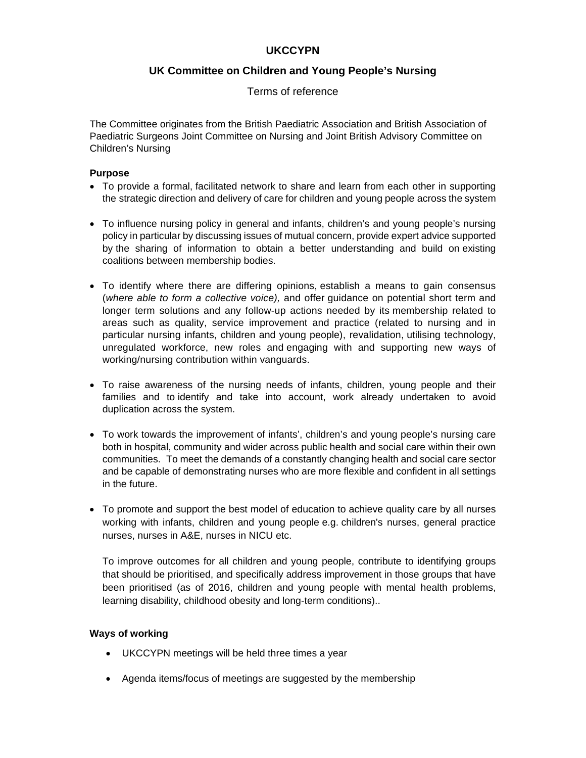# **UKCCYPN**

# **UK Committee on Children and Young People's Nursing**

### Terms of reference

The Committee originates from the British Paediatric Association and British Association of Paediatric Surgeons Joint Committee on Nursing and Joint British Advisory Committee on Children's Nursing

### **Purpose**

- To provide a formal, facilitated network to share and learn from each other in supporting the strategic direction and delivery of care for children and young people across the system
- To influence nursing policy in general and infants, children's and young people's nursing policy in particular by discussing issues of mutual concern, provide expert advice supported by the sharing of information to obtain a better understanding and build on existing coalitions between membership bodies.
- To identify where there are differing opinions, establish a means to gain consensus (*where able to form a collective voice),* and offer guidance on potential short term and longer term solutions and any follow-up actions needed by its membership related to areas such as quality, service improvement and practice (related to nursing and in particular nursing infants, children and young people), revalidation, utilising technology, unregulated workforce, new roles and engaging with and supporting new ways of working/nursing contribution within vanguards.
- To raise awareness of the nursing needs of infants, children, young people and their families and to identify and take into account, work already undertaken to avoid duplication across the system.
- To work towards the improvement of infants', children's and young people's nursing care both in hospital, community and wider across public health and social care within their own communities. To meet the demands of a constantly changing health and social care sector and be capable of demonstrating nurses who are more flexible and confident in all settings in the future.
- To promote and support the best model of education to achieve quality care by all nurses working with infants, children and young people e.g. children's nurses, general practice nurses, nurses in A&E, nurses in NICU etc.

To improve outcomes for all children and young people, contribute to identifying groups that should be prioritised, and specifically address improvement in those groups that have been prioritised (as of 2016, children and young people with mental health problems, learning disability, childhood obesity and long-term conditions)..

#### **Ways of working**

- UKCCYPN meetings will be held three times a year
- Agenda items/focus of meetings are suggested by the membership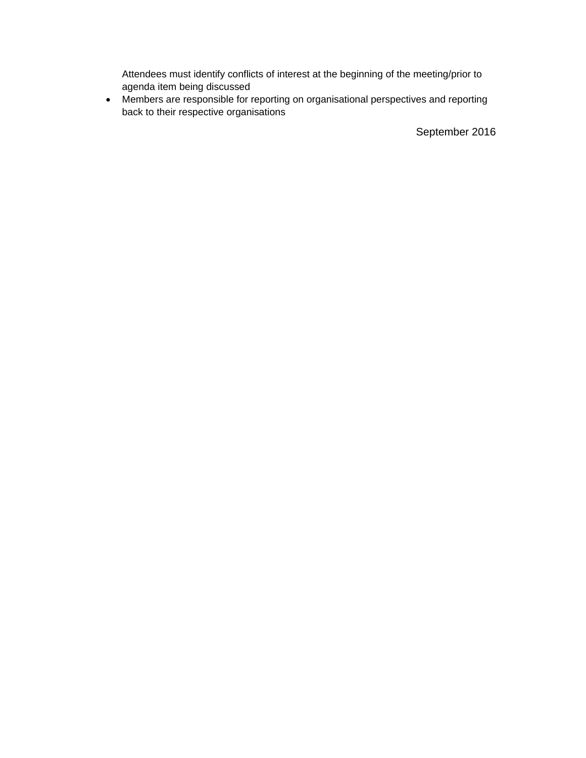Attendees must identify conflicts of interest at the beginning of the meeting/prior to agenda item being discussed

 Members are responsible for reporting on organisational perspectives and reporting back to their respective organisations

September 2016